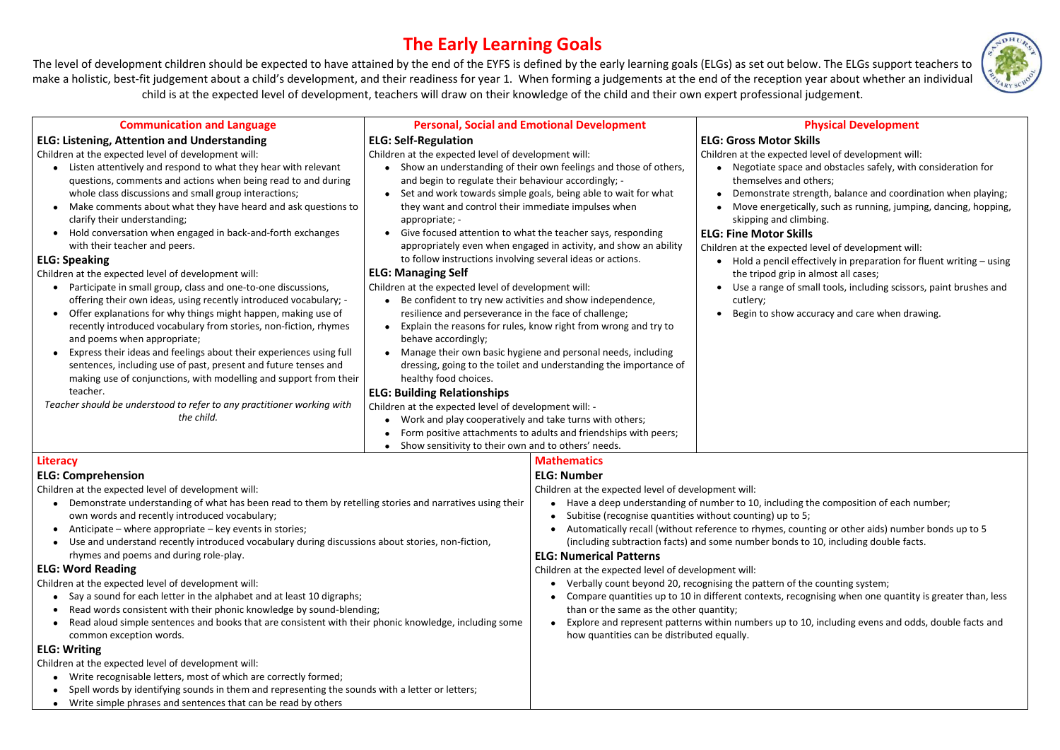# **The Early Learning Goals**

The level of development children should be expected to have attained by the end of the EYFS is defined by the early learning goals (ELGs) as set out below. The ELGs support teachers to make a holistic, best-fit judgement about a child's development, and their readiness for year 1. When forming a judgements at the end of the reception year about whether an individual child is at the expected level of development, teachers will draw on their knowledge of the child and their own expert professional judgement.

## **Physical Development**

- level of development will:
- and obstacles safely, with consideration for thers;
- ngth, balance and coordination when playing; ly, such as running, jumping, dancing, hopping, bing.

- level of development will:
- $R$  ctively in preparation for fluent writing using almost all cases;
- all tools, including scissors, paint brushes and

curacy and care when drawing.

the composition of each number;

ating or other aids) number bonds up to 5  $\overline{0}$  10, including double facts.

e counting system; gnising when one quantity is greater than, less

), including evens and odds, double facts and

| <b>Communication and Language</b>                                                                                                                                                                                                                                                                                                                                                                                                                                                                                                                                                                                                                                                                                                                                                                                                                                                                                                                                                                                                                                                                                                                           |                                                                                                                                                                                                                                                                                                                                                                                                                                                                                                                                                                                                                                                                                                                               | <b>Personal, Social and Emotional Development</b>                                                                                                                                                                                                                                                                                                                                                                                                                                                                                                                                                                                                                                                              | Ph                                                                                                                                                                                                                                                                                                                            |
|-------------------------------------------------------------------------------------------------------------------------------------------------------------------------------------------------------------------------------------------------------------------------------------------------------------------------------------------------------------------------------------------------------------------------------------------------------------------------------------------------------------------------------------------------------------------------------------------------------------------------------------------------------------------------------------------------------------------------------------------------------------------------------------------------------------------------------------------------------------------------------------------------------------------------------------------------------------------------------------------------------------------------------------------------------------------------------------------------------------------------------------------------------------|-------------------------------------------------------------------------------------------------------------------------------------------------------------------------------------------------------------------------------------------------------------------------------------------------------------------------------------------------------------------------------------------------------------------------------------------------------------------------------------------------------------------------------------------------------------------------------------------------------------------------------------------------------------------------------------------------------------------------------|----------------------------------------------------------------------------------------------------------------------------------------------------------------------------------------------------------------------------------------------------------------------------------------------------------------------------------------------------------------------------------------------------------------------------------------------------------------------------------------------------------------------------------------------------------------------------------------------------------------------------------------------------------------------------------------------------------------|-------------------------------------------------------------------------------------------------------------------------------------------------------------------------------------------------------------------------------------------------------------------------------------------------------------------------------|
| <b>ELG: Listening, Attention and Understanding</b>                                                                                                                                                                                                                                                                                                                                                                                                                                                                                                                                                                                                                                                                                                                                                                                                                                                                                                                                                                                                                                                                                                          | <b>ELG: Self-Regulation</b>                                                                                                                                                                                                                                                                                                                                                                                                                                                                                                                                                                                                                                                                                                   |                                                                                                                                                                                                                                                                                                                                                                                                                                                                                                                                                                                                                                                                                                                | <b>ELG: Gross Motor Skills</b>                                                                                                                                                                                                                                                                                                |
| Children at the expected level of development will:<br>Listen attentively and respond to what they hear with relevant<br>questions, comments and actions when being read to and during<br>whole class discussions and small group interactions;<br>Make comments about what they have heard and ask questions to<br>clarify their understanding;<br>Hold conversation when engaged in back-and-forth exchanges<br>with their teacher and peers.<br><b>ELG: Speaking</b><br>Children at the expected level of development will:<br>Participate in small group, class and one-to-one discussions,<br>offering their own ideas, using recently introduced vocabulary; -<br>Offer explanations for why things might happen, making use of<br>recently introduced vocabulary from stories, non-fiction, rhymes<br>and poems when appropriate;<br>Express their ideas and feelings about their experiences using full<br>sentences, including use of past, present and future tenses and<br>making use of conjunctions, with modelling and support from their<br>teacher.<br>Teacher should be understood to refer to any practitioner working with<br>the child. | Children at the expected level of development will:<br>and begin to regulate their behaviour accordingly; -<br>they want and control their immediate impulses when<br>appropriate; -<br>to follow instructions involving several ideas or actions.<br><b>ELG: Managing Self</b><br>Children at the expected level of development will:<br>Be confident to try new activities and show independence,<br>resilience and perseverance in the face of challenge;<br>behave accordingly;<br>healthy food choices.<br><b>ELG: Building Relationships</b><br>Children at the expected level of development will: -<br>Work and play cooperatively and take turns with others;<br>Show sensitivity to their own and to others' needs. | Show an understanding of their own feelings and those of others,<br>Set and work towards simple goals, being able to wait for what<br>Give focused attention to what the teacher says, responding<br>appropriately even when engaged in activity, and show an ability<br>Explain the reasons for rules, know right from wrong and try to<br>Manage their own basic hygiene and personal needs, including<br>dressing, going to the toilet and understanding the importance of<br>Form positive attachments to adults and friendships with peers;                                                                                                                                                               | Children at the expected lev<br>Negotiate space and<br>themselves and oth<br>Demonstrate streng<br>Move energetically,<br>skipping and climbir<br><b>ELG: Fine Motor Skills</b><br>Children at the expected lev<br>Hold a pencil effecti<br>the tripod grip in alr<br>Use a range of small<br>cutlery;<br>Begin to show accur |
| Literacy                                                                                                                                                                                                                                                                                                                                                                                                                                                                                                                                                                                                                                                                                                                                                                                                                                                                                                                                                                                                                                                                                                                                                    |                                                                                                                                                                                                                                                                                                                                                                                                                                                                                                                                                                                                                                                                                                                               | <b>Mathematics</b>                                                                                                                                                                                                                                                                                                                                                                                                                                                                                                                                                                                                                                                                                             |                                                                                                                                                                                                                                                                                                                               |
| <b>ELG: Comprehension</b>                                                                                                                                                                                                                                                                                                                                                                                                                                                                                                                                                                                                                                                                                                                                                                                                                                                                                                                                                                                                                                                                                                                                   |                                                                                                                                                                                                                                                                                                                                                                                                                                                                                                                                                                                                                                                                                                                               | <b>ELG: Number</b>                                                                                                                                                                                                                                                                                                                                                                                                                                                                                                                                                                                                                                                                                             |                                                                                                                                                                                                                                                                                                                               |
| Children at the expected level of development will:<br>Demonstrate understanding of what has been read to them by retelling stories and narratives using their<br>own words and recently introduced vocabulary;<br>Anticipate – where appropriate – key events in stories;<br>Use and understand recently introduced vocabulary during discussions about stories, non-fiction,<br>rhymes and poems and during role-play.<br><b>ELG: Word Reading</b><br>Children at the expected level of development will:<br>Say a sound for each letter in the alphabet and at least 10 digraphs;<br>Read words consistent with their phonic knowledge by sound-blending;<br>Read aloud simple sentences and books that are consistent with their phonic knowledge, including some<br>common exception words.<br><b>ELG: Writing</b>                                                                                                                                                                                                                                                                                                                                     |                                                                                                                                                                                                                                                                                                                                                                                                                                                                                                                                                                                                                                                                                                                               | Children at the expected level of development will:<br>Have a deep understanding of number to 10, including the<br>Subitise (recognise quantities without counting) up to 5;<br>• Automatically recall (without reference to rhymes, counting<br>(including subtraction facts) and some number bonds to 1<br><b>ELG: Numerical Patterns</b><br>Children at the expected level of development will:<br>Verbally count beyond 20, recognising the pattern of the c<br>$\bullet$<br>Compare quantities up to 10 in different contexts, recogni<br>$\bullet$<br>than or the same as the other quantity;<br>Explore and represent patterns within numbers up to 10, i<br>how quantities can be distributed equally. |                                                                                                                                                                                                                                                                                                                               |

Children at the expected level of development will:

- Write recognisable letters, most of which are correctly formed;
- Spell words by identifying sounds in them and representing the sounds with a letter or letters;
- Write simple phrases and sentences that can be read by others